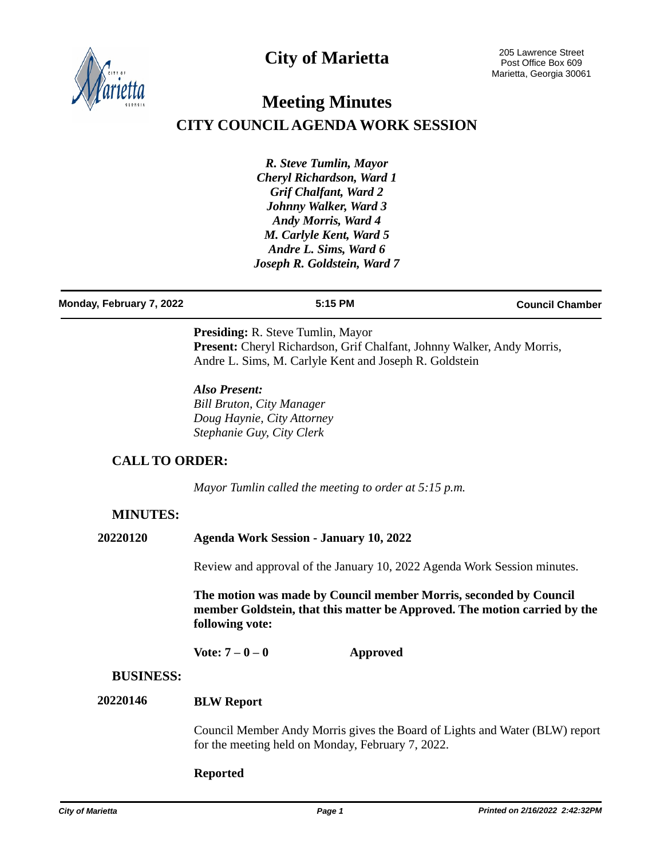**City of Marietta**



# **Meeting Minutes CITY COUNCIL AGENDA WORK SESSION**

*R. Steve Tumlin, Mayor Cheryl Richardson, Ward 1 Grif Chalfant, Ward 2 Johnny Walker, Ward 3 Andy Morris, Ward 4 M. Carlyle Kent, Ward 5 Andre L. Sims, Ward 6 Joseph R. Goldstein, Ward 7*

**Monday, February 7, 2022 5:15 PM Council Chamber**

**Presiding:** R. Steve Tumlin, Mayor Present: Cheryl Richardson, Grif Chalfant, Johnny Walker, Andy Morris, Andre L. Sims, M. Carlyle Kent and Joseph R. Goldstein

*Also Present: Bill Bruton, City Manager Doug Haynie, City Attorney Stephanie Guy, City Clerk*

### **CALL TO ORDER:**

*Mayor Tumlin called the meeting to order at 5:15 p.m.*

### **MINUTES:**

**20220120 Agenda Work Session - January 10, 2022**

Review and approval of the January 10, 2022 Agenda Work Session minutes.

**The motion was made by Council member Morris, seconded by Council member Goldstein, that this matter be Approved. The motion carried by the following vote:**

**Vote: 7 – 0 – 0 Approved**

### **BUSINESS:**

#### **BLW Report 20220146**

Council Member Andy Morris gives the Board of Lights and Water (BLW) report for the meeting held on Monday, February 7, 2022.

### **Reported**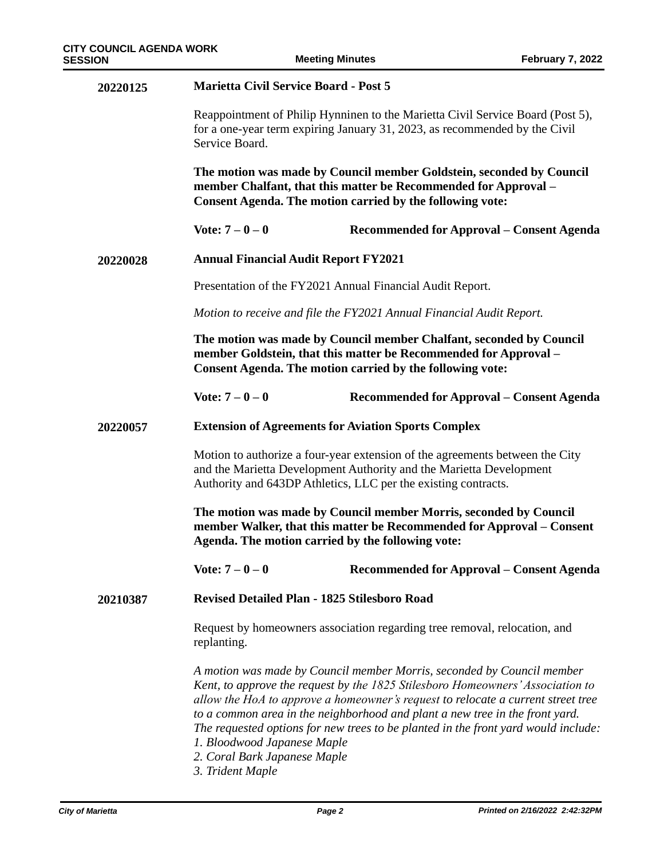| 20220125 | <b>Marietta Civil Service Board - Post 5</b>                                                                                                                                                                                                                                                                                                                                                                                                                                                                                  |                                           |  |
|----------|-------------------------------------------------------------------------------------------------------------------------------------------------------------------------------------------------------------------------------------------------------------------------------------------------------------------------------------------------------------------------------------------------------------------------------------------------------------------------------------------------------------------------------|-------------------------------------------|--|
|          | Reappointment of Philip Hynninen to the Marietta Civil Service Board (Post 5),<br>for a one-year term expiring January 31, 2023, as recommended by the Civil<br>Service Board.                                                                                                                                                                                                                                                                                                                                                |                                           |  |
|          | The motion was made by Council member Goldstein, seconded by Council<br>member Chalfant, that this matter be Recommended for Approval -<br><b>Consent Agenda. The motion carried by the following vote:</b>                                                                                                                                                                                                                                                                                                                   |                                           |  |
|          | Vote: $7 - 0 - 0$                                                                                                                                                                                                                                                                                                                                                                                                                                                                                                             | Recommended for Approval – Consent Agenda |  |
| 20220028 | <b>Annual Financial Audit Report FY2021</b>                                                                                                                                                                                                                                                                                                                                                                                                                                                                                   |                                           |  |
|          | Presentation of the FY2021 Annual Financial Audit Report.                                                                                                                                                                                                                                                                                                                                                                                                                                                                     |                                           |  |
|          | Motion to receive and file the FY2021 Annual Financial Audit Report.                                                                                                                                                                                                                                                                                                                                                                                                                                                          |                                           |  |
|          | The motion was made by Council member Chalfant, seconded by Council<br>member Goldstein, that this matter be Recommended for Approval -<br><b>Consent Agenda. The motion carried by the following vote:</b>                                                                                                                                                                                                                                                                                                                   |                                           |  |
|          | Vote: $7 - 0 - 0$                                                                                                                                                                                                                                                                                                                                                                                                                                                                                                             | Recommended for Approval – Consent Agenda |  |
| 20220057 | <b>Extension of Agreements for Aviation Sports Complex</b>                                                                                                                                                                                                                                                                                                                                                                                                                                                                    |                                           |  |
|          | Motion to authorize a four-year extension of the agreements between the City<br>and the Marietta Development Authority and the Marietta Development<br>Authority and 643DP Athletics, LLC per the existing contracts.                                                                                                                                                                                                                                                                                                         |                                           |  |
|          | The motion was made by Council member Morris, seconded by Council<br>member Walker, that this matter be Recommended for Approval - Consent<br>Agenda. The motion carried by the following vote:                                                                                                                                                                                                                                                                                                                               |                                           |  |
|          | Vote: $7 - 0 - 0$                                                                                                                                                                                                                                                                                                                                                                                                                                                                                                             | Recommended for Approval – Consent Agenda |  |
| 20210387 | Revised Detailed Plan - 1825 Stilesboro Road                                                                                                                                                                                                                                                                                                                                                                                                                                                                                  |                                           |  |
|          | Request by homeowners association regarding tree removal, relocation, and<br>replanting.                                                                                                                                                                                                                                                                                                                                                                                                                                      |                                           |  |
|          | A motion was made by Council member Morris, seconded by Council member<br>Kent, to approve the request by the 1825 Stilesboro Homeowners' Association to<br>allow the HoA to approve a homeowner's request to relocate a current street tree<br>to a common area in the neighborhood and plant a new tree in the front yard.<br>The requested options for new trees to be planted in the front yard would include:<br>1. Bloodwood Japanese Maple<br>2. Coral Bark Japanese Maple<br>$2T_{\text{rel}}$ d and $M_{\text{rel}}$ |                                           |  |

*3. Trident Maple*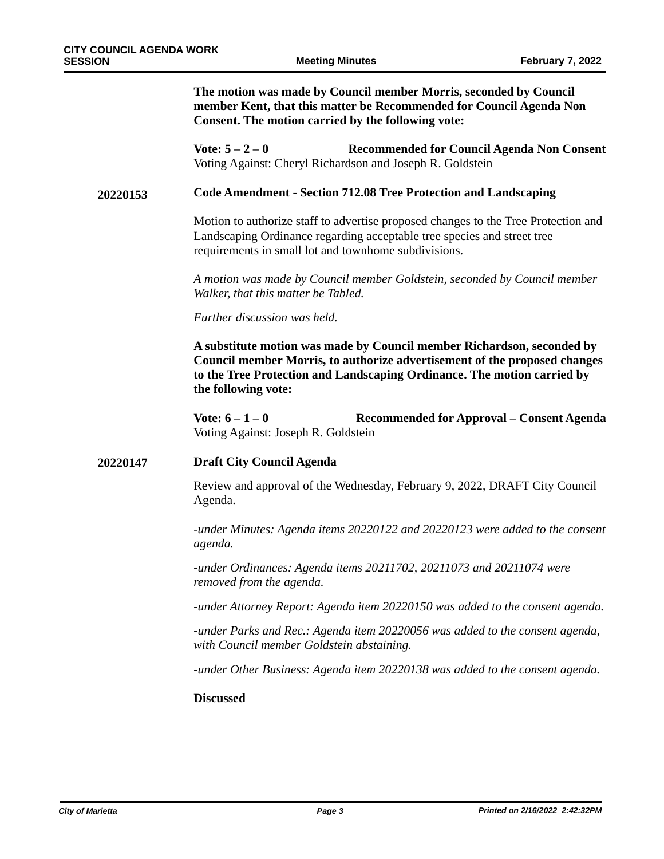**The motion was made by Council member Morris, seconded by Council member Kent, that this matter be Recommended for Council Agenda Non Consent. The motion carried by the following vote:**

**Vote: 5 – 2 – 0 Recommended for Council Agenda Non Consent** Voting Against: Cheryl Richardson and Joseph R. Goldstein

#### **Code Amendment - Section 712.08 Tree Protection and Landscaping 20220153**

Motion to authorize staff to advertise proposed changes to the Tree Protection and Landscaping Ordinance regarding acceptable tree species and street tree requirements in small lot and townhome subdivisions.

*A motion was made by Council member Goldstein, seconded by Council member Walker, that this matter be Tabled.*

*Further discussion was held.*

**A substitute motion was made by Council member Richardson, seconded by Council member Morris, to authorize advertisement of the proposed changes to the Tree Protection and Landscaping Ordinance. The motion carried by the following vote:**

**Vote: 6 – 1 – 0 Recommended for Approval – Consent Agenda** Voting Against: Joseph R. Goldstein

#### **Draft City Council Agenda 20220147**

Review and approval of the Wednesday, February 9, 2022, DRAFT City Council Agenda.

*-under Minutes: Agenda items 20220122 and 20220123 were added to the consent agenda.*

*-under Ordinances: Agenda items 20211702, 20211073 and 20211074 were removed from the agenda.*

*-under Attorney Report: Agenda item 20220150 was added to the consent agenda.*

*-under Parks and Rec.: Agenda item 20220056 was added to the consent agenda, with Council member Goldstein abstaining.*

*-under Other Business: Agenda item 20220138 was added to the consent agenda.*

#### **Discussed**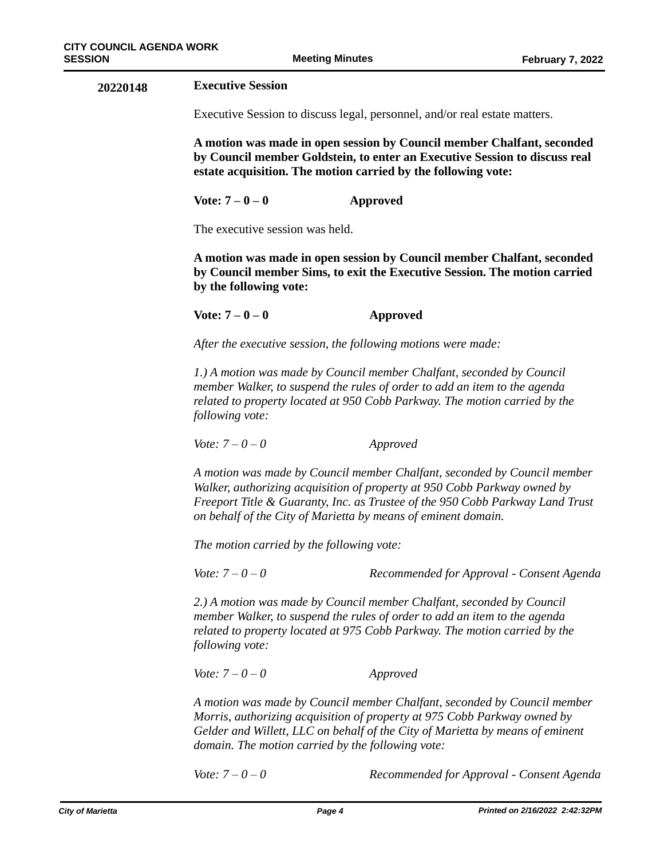| 20220148 | <b>Executive Session</b>                                                                                                                                                                                                                                                                               |                                           |  |
|----------|--------------------------------------------------------------------------------------------------------------------------------------------------------------------------------------------------------------------------------------------------------------------------------------------------------|-------------------------------------------|--|
|          | Executive Session to discuss legal, personnel, and/or real estate matters.                                                                                                                                                                                                                             |                                           |  |
|          | A motion was made in open session by Council member Chalfant, seconded<br>by Council member Goldstein, to enter an Executive Session to discuss real<br>estate acquisition. The motion carried by the following vote:                                                                                  |                                           |  |
|          | Vote: $7 - 0 - 0$                                                                                                                                                                                                                                                                                      | <b>Approved</b>                           |  |
|          | The executive session was held.                                                                                                                                                                                                                                                                        |                                           |  |
|          | A motion was made in open session by Council member Chalfant, seconded<br>by Council member Sims, to exit the Executive Session. The motion carried<br>by the following vote:                                                                                                                          |                                           |  |
|          | Vote: $7 - 0 - 0$                                                                                                                                                                                                                                                                                      | <b>Approved</b>                           |  |
|          | After the executive session, the following motions were made:                                                                                                                                                                                                                                          |                                           |  |
|          | 1.) A motion was made by Council member Chalfant, seconded by Council<br>member Walker, to suspend the rules of order to add an item to the agenda<br>related to property located at 950 Cobb Parkway. The motion carried by the<br>following vote:                                                    |                                           |  |
|          | <i>Vote:</i> $7 - 0 - 0$                                                                                                                                                                                                                                                                               | Approved                                  |  |
|          | A motion was made by Council member Chalfant, seconded by Council member<br>Walker, authorizing acquisition of property at 950 Cobb Parkway owned by<br>Freeport Title & Guaranty, Inc. as Trustee of the 950 Cobb Parkway Land Trust<br>on behalf of the City of Marietta by means of eminent domain. |                                           |  |
|          | The motion carried by the following vote:                                                                                                                                                                                                                                                              |                                           |  |
|          | <i>Vote:</i> $7 - 0 - 0$                                                                                                                                                                                                                                                                               | Recommended for Approval - Consent Agenda |  |
|          | 2.) A motion was made by Council member Chalfant, seconded by Council<br>member Walker, to suspend the rules of order to add an item to the agenda<br>related to property located at 975 Cobb Parkway. The motion carried by the<br>following vote:                                                    |                                           |  |
|          | <i>Vote:</i> $7 - 0 - 0$                                                                                                                                                                                                                                                                               | Approved                                  |  |
|          | A motion was made by Council member Chalfant, seconded by Council member<br>Morris, authorizing acquisition of property at 975 Cobb Parkway owned by<br>Gelder and Willett, LLC on behalf of the City of Marietta by means of eminent<br>domain. The motion carried by the following vote:             |                                           |  |
|          | <i>Vote:</i> $7 - 0 - 0$                                                                                                                                                                                                                                                                               | Recommended for Approval - Consent Agenda |  |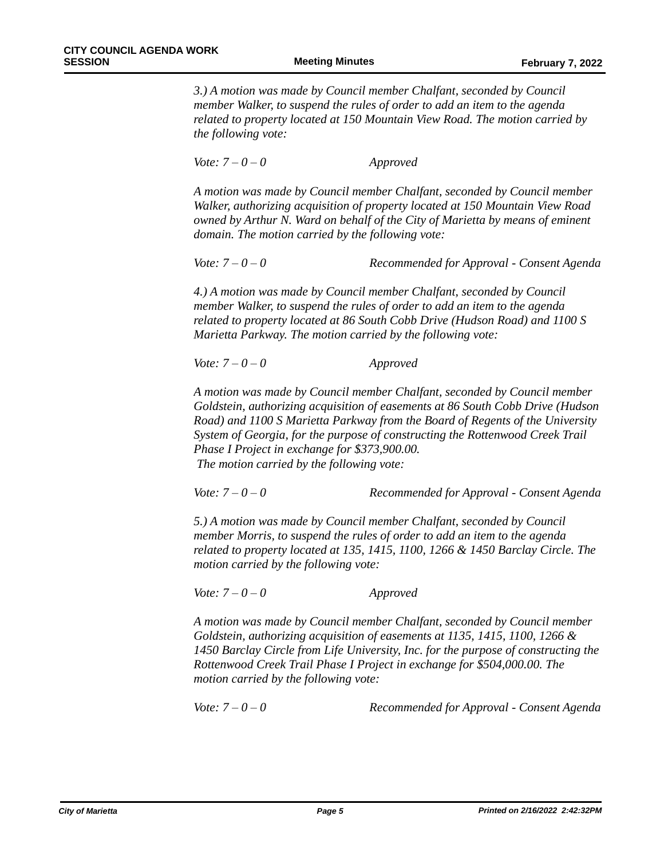*3.) A motion was made by Council member Chalfant, seconded by Council member Walker, to suspend the rules of order to add an item to the agenda related to property located at 150 Mountain View Road. The motion carried by the following vote:*

*Vote: 7 – 0 – 0 Approved*

*A motion was made by Council member Chalfant, seconded by Council member Walker, authorizing acquisition of property located at 150 Mountain View Road owned by Arthur N. Ward on behalf of the City of Marietta by means of eminent domain. The motion carried by the following vote:*

*Vote: 7 – 0 – 0 Recommended for Approval - Consent Agenda*

*4.) A motion was made by Council member Chalfant, seconded by Council member Walker, to suspend the rules of order to add an item to the agenda related to property located at 86 South Cobb Drive (Hudson Road) and 1100 S Marietta Parkway. The motion carried by the following vote:*

*Vote: 7 – 0 – 0 Approved*

*A motion was made by Council member Chalfant, seconded by Council member Goldstein, authorizing acquisition of easements at 86 South Cobb Drive (Hudson Road) and 1100 S Marietta Parkway from the Board of Regents of the University System of Georgia, for the purpose of constructing the Rottenwood Creek Trail Phase I Project in exchange for \$373,900.00. The motion carried by the following vote:*

*Vote: 7 – 0 – 0 Recommended for Approval - Consent Agenda*

*5.) A motion was made by Council member Chalfant, seconded by Council member Morris, to suspend the rules of order to add an item to the agenda related to property located at 135, 1415, 1100, 1266 & 1450 Barclay Circle. The motion carried by the following vote:*

*Vote: 7 – 0 – 0 Approved*

*A motion was made by Council member Chalfant, seconded by Council member Goldstein, authorizing acquisition of easements at 1135, 1415, 1100, 1266 & 1450 Barclay Circle from Life University, Inc. for the purpose of constructing the Rottenwood Creek Trail Phase I Project in exchange for \$504,000.00. The motion carried by the following vote:*

*Vote: 7 – 0 – 0 Recommended for Approval - Consent Agenda*